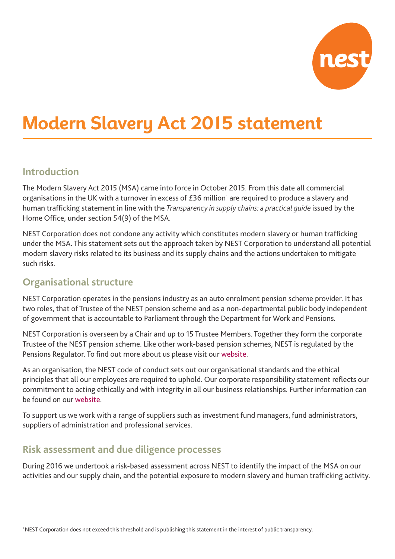

# **Modern Slavery Act 2015 statement**

## **Introduction**

The Modern Slavery Act 2015 (MSA) came into force in October 2015. From this date all commercial organisations in the UK with a turnover in excess of  $£36$  million<sup>1</sup> are required to produce a slavery and human trafficking statement in line with the *Transparency in supply chains: a practical guide* issued by the Home Office, under section 54(9) of the MSA.

NEST Corporation does not condone any activity which constitutes modern slavery or human trafficking under the MSA. This statement sets out the approach taken by NEST Corporation to understand all potential modern slavery risks related to its business and its supply chains and the actions undertaken to mitigate such risks.

#### **Organisational structure**

NEST Corporation operates in the pensions industry as an auto enrolment pension scheme provider. It has two roles, that of Trustee of the NEST pension scheme and as a non-departmental public body independent of government that is accountable to Parliament through the Department for Work and Pensions.

NEST Corporation is overseen by a Chair and up to 15 Trustee Members. Together they form the corporate Trustee of the NEST pension scheme. Like other work-based pension schemes, NEST is regulated by the Pensions Regulator. To find out more about us please visit our [website](http://www.nestpensions.org.uk).

As an organisation, the NEST code of conduct sets out our organisational standards and the ethical principles that all our employees are required to uphold. Our corporate responsibility statement reflects our commitment to acting ethically and with integrity in all our business relationships. Further information can be found on our [website.](https://www.nestpensions.org.uk/schemeweb/NestWeb/public/aboutnestcorporation/contents/policy-and-procedures.html)

To support us we work with a range of suppliers such as investment fund managers, fund administrators, suppliers of administration and professional services.

### **Risk assessment and due diligence processes**

During 2016 we undertook a risk-based assessment across NEST to identify the impact of the MSA on our activities and our supply chain, and the potential exposure to modern slavery and human trafficking activity.